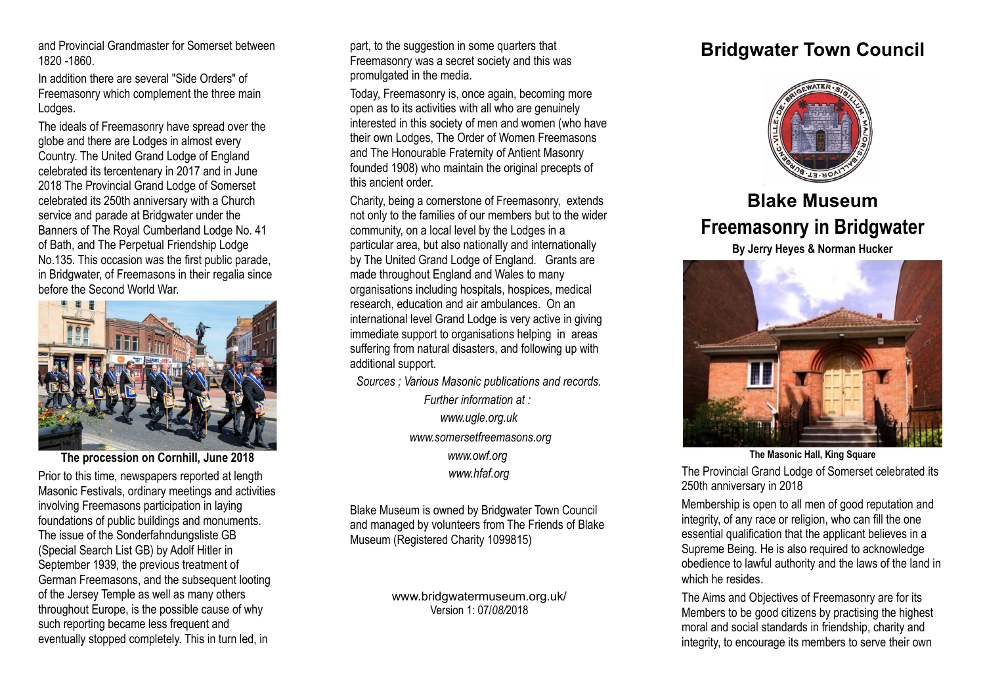and Provincial Grandmaster for Somerset between 1820 -1860.

In addition there are several "Side Orders" of Freemasonry which complement the three main Lodges.

The ideals of Freemasonry have spread over the globe and there are Lodges in almost every Country. The United Grand Lodge of England celebrated its tercentenary in 2017 and in June 2018 The Provincial Grand Lodge of Somerset celebrated its 250th anniversary with a Church service and parade at Bridgwater under the Banners of The Royal Cumberland Lodge No. 41 of Bath, and The Perpetual Friendship Lodge No.135. This occasion was the first public parade, in Bridgwater, of Freemasons in their regalia since before the Second World War.



Prior to this time, newspapers reported at length Masonic Festivals, ordinary meetings and activities involving Freemasons participation in laying foundations of public buildings and monuments. The issue of the Sonderfahndungsliste GB (Special Search List GB) by Adolf Hitler in September 1939, the previous treatment of German Freemasons, and the subsequent looting of the Jersey Temple as well as many others throughout Europe, is the possible cause of why such reporting became less frequent and eventually stopped completely. This in turn led, in

part, to the suggestion in some quarters that Freemasonry was a secret society and this was promulgated in the media.

Today, Freemasonry is, once again, becoming more open as to its activities with all who are genuinely interested in this society of men and women (who have their own Lodges, The Order of Women Freemasons and The Honourable Fraternity of Antient Masonry founded 1908) who maintain the original precepts of this ancient order.

Charity, being a cornerstone of Freemasonry, extends not only to the families of our members but to the wider community, on a local level by the Lodges in a particular area, but also nationally and internationally by The United Grand Lodge of England. Grants are made throughout England and Wales to many organisations including hospitals, hospices, medical research, education and air ambulances. On an international level Grand Lodge is very active in giving immediate support to organisations helping in areas suffering from natural disasters, and following up with additional support.

*Sources ; Various Masonic publications and records.*

*Further information at : www.ugle.org.uk www.somersetfreemasons.org www.owf.org www.hfaf.org*

Blake Museum is owned by Bridgwater Town Council and managed by volunteers from The Friends of Blake Museum (Registered Charity 1099815)

> www.bridgwatermuseum.org.uk/ Version 1: 07/*08/*2018

## **Bridgwater Town Council**



## **Blake Museum Freemasonry in Bridgwater**

**By Jerry Heyes & Norman Hucker**



**The Masonic Hall, King Square**

The Provincial Grand Lodge of Somerset celebrated its 250th anniversary in 2018

Membership is open to all men of good reputation and integrity, of any race or religion, who can fill the one essential qualification that the applicant believes in a Supreme Being. He is also required to acknowledge obedience to lawful authority and the laws of the land in which he resides

The Aims and Objectives of Freemasonry are for its Members to be good citizens by practising the highest moral and social standards in friendship, charity and integrity, to encourage its members to serve their own